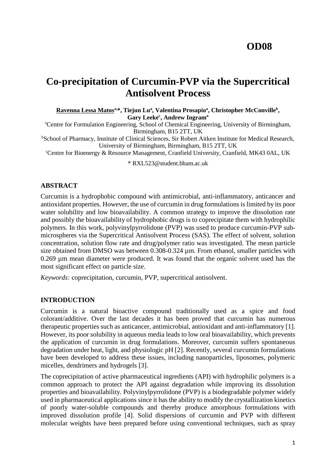# **OD08**

# **Co-precipitation of Curcumin-PVP via the Supercritical Antisolvent Process**

**Ravenna Lessa Matosa,\*, Tiejun Lu<sup>a</sup> , Valentina Prosapio<sup>a</sup> , Christopher McConville<sup>b</sup> , Gary Leeke<sup>c</sup> , Andrew Ingram<sup>a</sup>**

<sup>a</sup>Centre for Formulation Engineering, School of Chemical Engineering, University of Birmingham, Birmingham, B15 2TT, UK

**bSchool of Pharmacy, Institute of Clinical Sciences, Sir Robert Aitken Institute for Medical Research,** University of Birmingham, Birmingham, B15 2TT, UK

<sup>c</sup>Centre for Bioenergy & Resource Management, Cranfield University, Cranfield, MK43 0AL, UK

\* [RXL523@student.bham.ac.uk](mailto:RXL523@student.bham.ac.uk)

#### **ABSTRACT**

Curcumin is a hydrophobic compound with antimicrobial, anti-inflammatory, anticancer and antioxidant properties. However, the use of curcumin in drug formulations is limited by its poor water solubility and low bioavailability. A common strategy to improve the dissolution rate and possibly the bioavailability of hydrophobic drugs is to coprecipitate them with hydrophilic polymers. In this work, polyvinylpyrrolidone (PVP) was used to produce curcumin-PVP submicrospheres via the Supercritical Antisolvent Process (SAS). The effect of solvent, solution concentration, solution flow rate and drug/polymer ratio was investigated. The mean particle size obtained from DMSO was between 0.308-0.324 µm. From ethanol, smaller particles with 0.269 µm mean diameter were produced. It was found that the organic solvent used has the most significant effect on particle size.

*Keywords:* coprecipitation, curcumin, PVP, supercritical antisolvent.

#### **INTRODUCTION**

Curcumin is a natural bioactive compound traditionally used as a spice and food colorant/additive. Over the last decades it has been proved that curcumin has numerous therapeutic properties such as anticancer, antimicrobial, antioxidant and anti-inflammatory [1]. However, its poor solubility in aqueous media leads to low oral bioavailability, which prevents the application of curcumin in drug formulations. Moreover, curcumin suffers spontaneous degradation under heat, light, and physiologic pH [2]. Recently, several curcumin formulations have been developed to address these issues, including nanoparticles, liposomes, polymeric micelles, dendrimers and hydrogels [3].

The coprecipitation of active pharmaceutical ingredients (API) with hydrophilic polymers is a common approach to protect the API against degradation while improving its dissolution properties and bioavailability. Polyvinylpyrrolidone (PVP) is a biodegradable polymer widely used in pharmaceutical applications since it has the ability to modify the crystallization kinetics of poorly water-soluble compounds and thereby produce amorphous formulations with improved dissolution profile [4]. Solid dispersions of curcumin and PVP with different molecular weights have been prepared before using conventional techniques, such as spray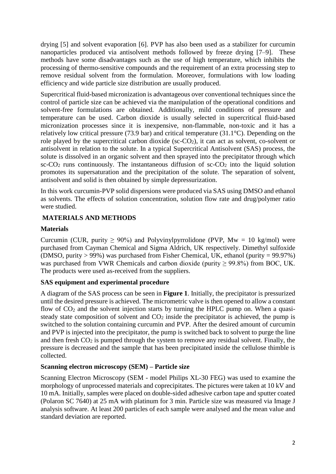drying [5] and solvent evaporation [6]. PVP has also been used as a stabilizer for curcumin nanoparticles produced via antisolvent methods followed by freeze drying [7–9]. These methods have some disadvantages such as the use of high temperature, which inhibits the processing of thermo-sensitive compounds and the requirement of an extra processing step to remove residual solvent from the formulation. Moreover, formulations with low loading efficiency and wide particle size distribution are usually produced.

Supercritical fluid-based micronization is advantageous over conventional techniques since the control of particle size can be achieved via the manipulation of the operational conditions and solvent-free formulations are obtained. Additionally, mild conditions of pressure and temperature can be used. Carbon dioxide is usually selected in supercritical fluid-based micronization processes since it is inexpensive, non-flammable, non-toxic and it has a relatively low critical pressure (73.9 bar) and critical temperature (31.1°C). Depending on the role played by the supercritical carbon dioxide (sc-CO2), it can act as solvent, co-solvent or antisolvent in relation to the solute. In a typical Supercritical Antisolvent (SAS) process, the solute is dissolved in an organic solvent and then sprayed into the precipitator through which  $\text{sc-CO}_2$  runs continuously. The instantaneous diffusion of  $\text{sc-CO}_2$  into the liquid solution promotes its supersaturation and the precipitation of the solute. The separation of solvent, antisolvent and solid is then obtained by simple depressurization.

In this work curcumin-PVP solid dispersions were produced via SAS using DMSO and ethanol as solvents. The effects of solution concentration, solution flow rate and drug/polymer ratio were studied.

# **MATERIALS AND METHODS**

# **Materials**

Curcumin (CUR, purity  $> 90\%$ ) and Polyvinylpyrrolidone (PVP, Mw = 10 kg/mol) were purchased from Cayman Chemical and Sigma Aldrich, UK respectively. Dimethyl sulfoxide (DMSO, purity  $> 99\%$ ) was purchased from Fisher Chemical, UK, ethanol (purity = 99.97%) was purchased from VWR Chemicals and carbon dioxide (purity  $\geq$  99.8%) from BOC, UK. The products were used as-received from the suppliers.

# **SAS equipment and experimental procedure**

A diagram of the SAS process can be seen in **[Figure 1](#page-2-0)**. Initially, the precipitator is pressurized until the desired pressure is achieved. The micrometric valve is then opened to allow a constant flow of  $CO<sub>2</sub>$  and the solvent injection starts by turning the HPLC pump on. When a quasisteady state composition of solvent and  $CO<sub>2</sub>$  inside the precipitator is achieved, the pump is switched to the solution containing curcumin and PVP. After the desired amount of curcumin and PVP is injected into the precipitator, the pump is switched back to solvent to purge the line and then fresh  $CO<sub>2</sub>$  is pumped through the system to remove any residual solvent. Finally, the pressure is decreased and the sample that has been precipitated inside the cellulose thimble is collected.

# **Scanning electron microscopy (SEM) – Particle size**

Scanning Electron Microscopy (SEM - model Philips XL-30 FEG) was used to examine the morphology of unprocessed materials and coprecipitates. The pictures were taken at 10 kV and 10 mA. Initially, samples were placed on double-sided adhesive carbon tape and sputter coated (Polaron SC 7640) at 25 mA with platinum for 3 min. Particle size was measured via Image J analysis software. At least 200 particles of each sample were analysed and the mean value and standard deviation are reported.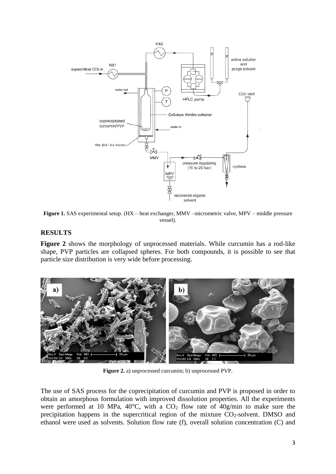

<span id="page-2-0"></span>**Figure 1.** SAS experimental setup. (HX – heat exchanger, MMV –micrometric valve, MPV – middle pressure vessel).

#### **RESULTS**

**[Figure 2](#page-2-1)** shows the morphology of unprocessed materials. While curcumin has a rod-like shape, PVP particles are collapsed spheres. For both compounds, it is possible to see that particle size distribution is very wide before processing.



**Figure 2.** a) unprocessed curcumin; b) unprocessed PVP.

<span id="page-2-1"></span>The use of SAS process for the coprecipitation of curcumin and PVP is proposed in order to obtain an amorphous formulation with improved dissolution properties. All the experiments were performed at 10 MPa,  $40^{\circ}$ C, with a CO<sub>2</sub> flow rate of  $40$ g/min to make sure the precipitation happens in the supercritical region of the mixture  $CO<sub>2</sub>$ -solvent. DMSO and ethanol were used as solvents. Solution flow rate (f), overall solution concentration (C) and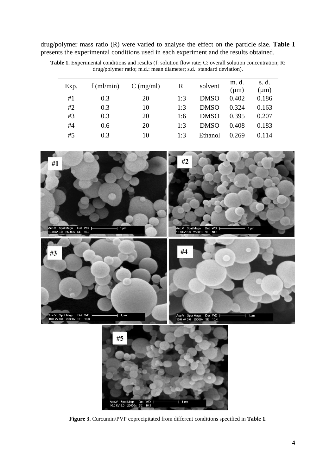drug/polymer mass ratio (R) were varied to analyse the effect on the particle size. **[Table 1](#page-3-0)** presents the experimental conditions used in each experiment and the results obtained.

| Exp. | $f$ (ml/min) | $C \left( \frac{mg}{ml} \right)$ | R   | solvent     | m. d.<br>(µm) | s. d.<br>$(\mu m)$ |
|------|--------------|----------------------------------|-----|-------------|---------------|--------------------|
| #1   | 0.3          | 20                               | 1:3 | <b>DMSO</b> | 0.402         | 0.186              |
| #2   | 0.3          | 10                               | 1:3 | <b>DMSO</b> | 0.324         | 0.163              |
| #3   | 0.3          | 20                               | 1:6 | <b>DMSO</b> | 0.395         | 0.207              |
| #4   | 0.6          | 20                               | 1:3 | <b>DMSO</b> | 0.408         | 0.183              |
| #5   | 0.3          | 10                               | 1:3 | Ethanol     | 0.269         | 0.114              |

<span id="page-3-0"></span>**Table 1.** Experimental conditions and results (f: solution flow rate; C: overall solution concentration; R: drug/polymer ratio; m.d.: mean diameter; s.d.: standard deviation).



<span id="page-3-1"></span>**Figure 3.** Curcumin/PVP coprecipitated from different conditions specified in **[Table 1](#page-3-0)**.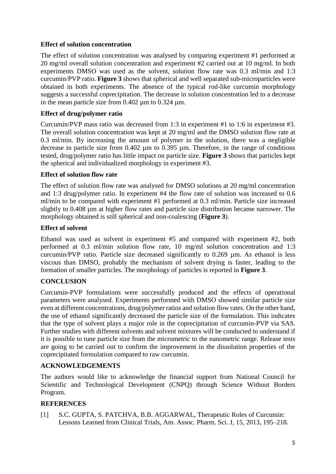# **Effect of solution concentration**

The effect of solution concentration was analysed by comparing experiment #1 performed at 20 mg/ml overall solution concentration and experiment #2 carried out at 10 mg/ml. In both experiments DMSO was used as the solvent, solution flow rate was 0.3 ml/min and 1:3 curcumin/PVP ratio. **[Figure 3](#page-3-1)** shows that spherical and well separated sub-microparticles were obtained in both experiments. The absence of the typical rod-like curcumin morphology suggests a successful coprecipitation. The decrease in solution concentration led to a decrease in the mean particle size from  $0.402 \text{ µm}$  to  $0.324 \text{ µm}$ .

# **Effect of drug/polymer ratio**

Curcumin/PVP mass ratio was decreased from 1:3 in experiment #1 to 1:6 in experiment #3. The overall solution concentration was kept at 20 mg/ml and the DMSO solution flow rate at 0.3 ml/min. By increasing the amount of polymer in the solution, there was a negligible decrease in particle size from  $0.402 \mu m$  to  $0.395 \mu m$ . Therefore, in the range of conditions tested, drug/polymer ratio has little impact on particle size. **[Figure 3](#page-3-1)** shows that particles kept the spherical and individualized morphology in experiment #3.

#### **Effect of solution flow rate**

The effect of solution flow rate was analysed for DMSO solutions at 20 mg/ml concentration and 1:3 drug/polymer ratio. In experiment #4 the flow rate of solution was increased to 0.6 ml/min to be compared with experiment #1 performed at 0.3 ml/min. Particle size increased slightly to 0.408 µm at higher flow rates and particle size distribution became narrower. The morphology obtained is still spherical and non-coalescing (**[Figure 3](#page-3-1)**).

#### **Effect of solvent**

Ethanol was used as solvent in experiment #5 and compared with experiment #2, both performed at 0.3 ml/min solution flow rate, 10 mg/ml solution concentration and 1:3 curcumin/PVP ratio. Particle size decreased significantly to 0.269 µm. As ethanol is less viscous than DMSO, probably the mechanism of solvent drying is faster, leading to the formation of smaller particles. The morphology of particles is reported in **[Figure 3](#page-3-1)**.

# **CONCLUSION**

Curcumin-PVP formulations were successfully produced and the effects of operational parameters were analysed. Experiments performed with DMSO showed similar particle size even at different concentrations, drug/polymer ratios and solution flow rates. On the other hand, the use of ethanol significantly decreased the particle size of the formulation. This indicates that the type of solvent plays a major role in the coprecipitation of curcumin-PVP via SAS. Further studies with different solvents and solvent mixtures will be conducted to understand if it is possible to tune particle size from the micrometric to the nanometric range. Release tests are going to be carried out to confirm the improvement in the dissolution properties of the coprecipitated formulation compared to raw curcumin.

# **ACKNOWLEDGEMENTS**

The authors would like to acknowledge the financial support from National Council for Scientific and Technological Development (CNPQ) through Science Without Borders Program.

# **REFERENCES**

[1] S.C. GUPTA, S. PATCHVA, B.B. AGGARWAL, Therapeutic Roles of Curcumin: Lessons Learned from Clinical Trials, Am. Assoc. Pharm. Sci. J, 15, 2013, 195–218.